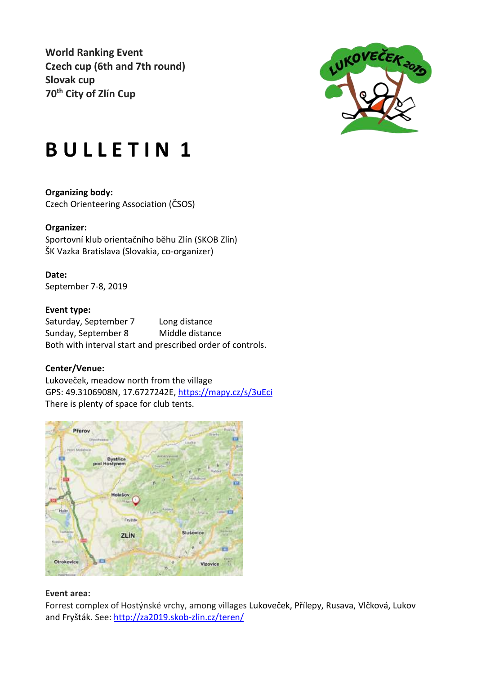**World Ranking Event Czech cup (6th and 7th round) Slovak cup 70th City of Zlín Cup**



# **B U L L E T I N 1**

**Organizing body:** Czech Orienteering Association (ČSOS)

# **Organizer:**

Sportovní klub orientačního běhu Zlín (SKOB Zlín) ŠK Vazka Bratislava (Slovakia, co-organizer)

# **Date:**

September 7-8, 2019

# **Event type:**

Saturday, September 7 Long distance Sunday, September 8 Middle distance Both with interval start and prescribed order of controls.

# **Center/Venue:**

Lukoveček, meadow north from the village GPS: 49.3106908N, 17.6727242E,<https://mapy.cz/s/3uEci> There is plenty of space for club tents.



#### **Event area:**

Forrest complex of Hostýnské vrchy, among villages Lukoveček, Přílepy, Rusava, Vlčková, Lukov and Fryšták. See:<http://za2019.skob-zlin.cz/teren/>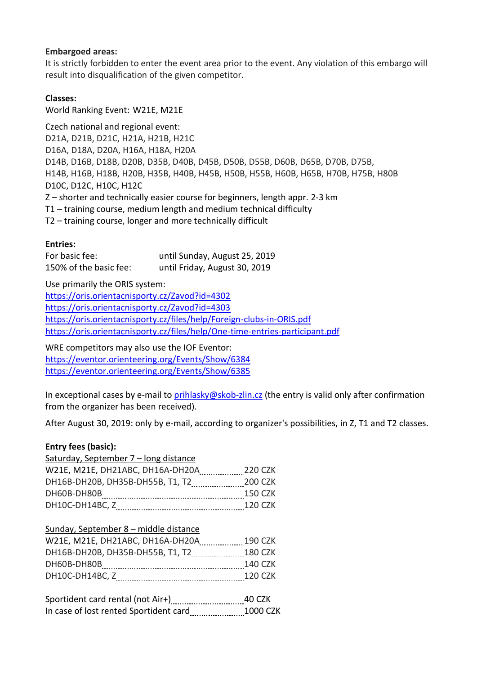# **Embargoed areas:**

It is strictly forbidden to enter the event area prior to the event. Any violation of this embargo will result into disqualification of the given competitor.

# **Classes:**

World Ranking Event: W21E, M21E

Czech national and regional event: D21A, D21B, D21C, H21A, H21B, H21C D16A, D18A, D20A, H16A, H18A, H20A D14B, D16B, D18B, D20B, D35B, D40B, D45B, D50B, D55B, D60B, D65B, D70B, D75B, H14B, H16B, H18B, H20B, H35B, H40B, H45B, H50B, H55B, H60B, H65B, H70B, H75B, H80B D10C, D12C, H10C, H12C Z – shorter and technically easier course for beginners, length appr. 2-3 km T1 – training course, medium length and medium technical difficulty T2 – training course, longer and more technically difficult

# **Entries:**

| For basic fee:         | until Sunday, August 25, 2019 |
|------------------------|-------------------------------|
| 150% of the basic fee: | until Friday, August 30, 2019 |

Use primarily the ORIS system:

<https://oris.orientacnisporty.cz/Zavod?id=4302> <https://oris.orientacnisporty.cz/Zavod?id=4303> <https://oris.orientacnisporty.cz/files/help/Foreign-clubs-in-ORIS.pdf> <https://oris.orientacnisporty.cz/files/help/One-time-entries-participant.pdf>

WRE competitors may also use the IOF Eventor: <https://eventor.orienteering.org/Events/Show/6384> <https://eventor.orienteering.org/Events/Show/6385>

In exceptional cases by e-mail to [prihlasky@skob-zlin.cz](mailto:prihlasky@skob-zlin.cz) (the entry is valid only after confirmation from the organizer has been received).

After August 30, 2019: only by e-mail, according to organizer's possibilities, in Z, T1 and T2 classes.

# **Entry fees (basic):**

| Saturday, September 7 – long distance |                |
|---------------------------------------|----------------|
| W21E, M21E, DH21ABC, DH16A-DH20A      | 220 CZK        |
|                                       |                |
| DH60B-DH80B                           | <b>150 CZK</b> |
| DH10C-DH14BC, Z                       | 120 CZK        |

| Sunday, September 8 - middle distance |                |
|---------------------------------------|----------------|
| W21E, M21E, DH21ABC, DH16A-DH20A      | 190 CZK        |
|                                       | 180 CZK        |
| DH60B-DH80B                           | <b>140 CZK</b> |
| DH10C-DH14BC, Z                       | 120 CZK        |
|                                       |                |

|                                        | 40 CZK   |
|----------------------------------------|----------|
| In case of lost rented Sportident card | 1000 CZK |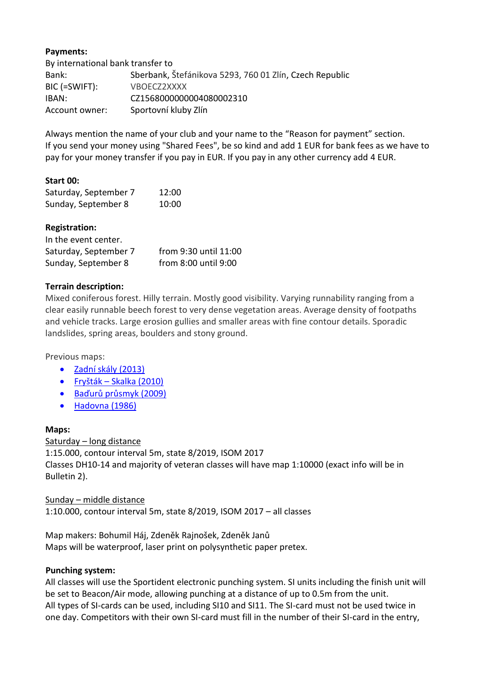# **Payments:**

By international bank transfer to Bank: Sberbank, Štefánikova 5293, 760 01 Zlín, Czech Republic BIC (=SWIFT): VBOECZ2XXXX IBAN: CZ1568000000004080002310 Account owner: Sportovní kluby Zlín

Always mention the name of your club and your name to the "Reason for payment" section. If you send your money using "Shared Fees", be so kind and add 1 EUR for bank fees as we have to pay for your money transfer if you pay in EUR. If you pay in any other currency add 4 EUR.

# **Start 00:**

| Saturday, September 7 | 12:00 |
|-----------------------|-------|
| Sunday, September 8   | 10:00 |

# **Registration:**

| In the event center.  |                       |
|-----------------------|-----------------------|
| Saturday, September 7 | from 9:30 until 11:00 |
| Sunday, September 8   | from 8:00 until 9:00  |

# **Terrain description:**

Mixed coniferous forest. Hilly terrain. Mostly good visibility. Varying runnability ranging from a clear easily runnable beech forest to very dense vegetation areas. Average density of footpaths and vehicle tracks. Large erosion gullies and smaller areas with fine contour details. Sporadic landslides, spring areas, boulders and stony ground.

Previous maps:

- [Zadní skály \(2013\)](https://mapy.orientacnisporty.cz/mapa/zadni-skaly-2013)
- Fryšták [Skalka \(2010\)](http://mapy.orientacnisporty.cz/mapa/frystak-skalka-2010)
- [Baďurů průsmyk \(2009\)](http://mapy.orientacnisporty.cz/mapa/baduru-prusmyk-2009)
- [Hadovna \(1986\)](http://mapy.orientacnisporty.cz/mapa/hadovna-1986)

#### **Maps:**

Saturday – long distance 1:15.000, contour interval 5m, state 8/2019, ISOM 2017 Classes DH10-14 and majority of veteran classes will have map 1:10000 (exact info will be in Bulletin 2).

Sunday – middle distance 1:10.000, contour interval 5m, state 8/2019, ISOM 2017 – all classes

Map makers: Bohumil Háj, Zdeněk Rajnošek, Zdeněk Janů Maps will be waterproof, laser print on polysynthetic paper pretex.

#### **Punching system:**

All classes will use the Sportident electronic punching system. SI units including the finish unit will be set to Beacon/Air mode, allowing punching at a distance of up to 0.5m from the unit. All types of SI-cards can be used, including SI10 and SI11. The SI-card must not be used twice in one day. Competitors with their own SI-card must fill in the number of their SI-card in the entry,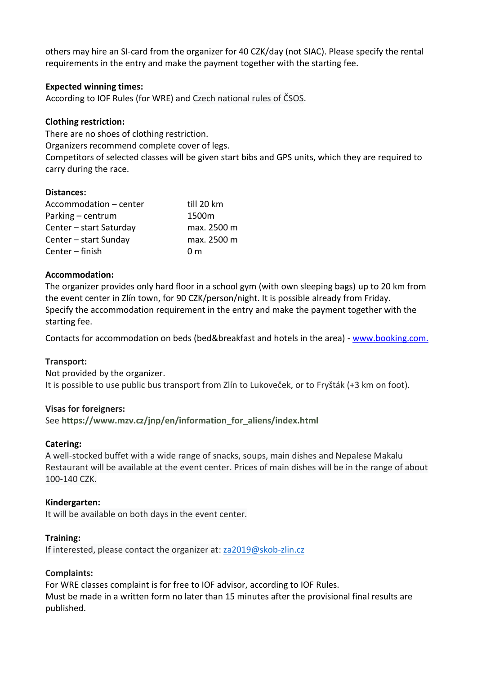others may hire an SI-card from the organizer for 40 CZK/day (not SIAC). Please specify the rental requirements in the entry and make the payment together with the starting fee.

## **Expected winning times:**

According to IOF Rules (for WRE) and Czech national rules of ČSOS.

# **Clothing restriction:**

There are no shoes of clothing restriction.

Organizers recommend complete cover of legs.

Competitors of selected classes will be given start bibs and GPS units, which they are required to carry during the race.

# **Distances:**

| Accommodation - center  | till 20 km     |
|-------------------------|----------------|
| Parking – centrum       | 1500m          |
| Center - start Saturday | max. 2500 m    |
| Center - start Sunday   | max. 2500 m    |
| Center – finish         | 0 <sub>m</sub> |

# **[Accommodation:](about:blank)**

The organizer provides only hard floor in a school gym (with own sleeping bags) up to 20 km from the event center in Zlín town, for 90 CZK/person/night. It is possible already from Friday. Specify the accommodation requirement in the entry and make the payment together with the starting fee.

Contacts for accommodation on beds (bed&breakfast and hotels in the area) - [www.booking.com.](http://www.booking.com/)

#### **Transport:**

Not provided by the organizer. It is possible to use public bus transport from Zlín to Lukoveček, or to Fryšták (+3 km on foot).

#### **Visas for foreigners:**

See **[https://www.mzv.cz/jnp/en/information\\_for\\_aliens/index.html](https://www.mzv.cz/jnp/en/information_for_aliens/index.html)**

#### **Caterin[g:](about:blank)**

A well-stocked buffet with a wide range of snacks, soups, main dishes and Nepalese Makalu Restaurant will be available at the event center. Prices of main dishes will be in the range of about 100-140 CZK.

#### **Kindergarte[n:](about:blank)**

It will be available on both days in the event center.

#### **Training:**

If interested, please contact the organizer at: [za2019@skob-zlin.cz](https://amail.centrum.cz/main.php#composeto)

#### **Complaints:**

For WRE classes complaint is for free to IOF advisor, according to IOF Rules. Must be made in a written form no later than 15 minutes after the provisional final results are published.